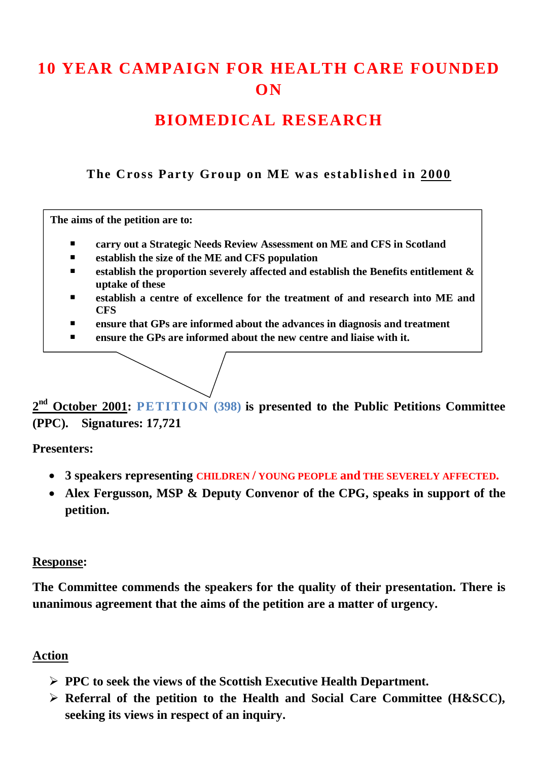# **10 YEAR CAMPAIGN FOR HEALTH CARE FOUNDED ON**

# **BIOMEDICAL RESEARCH**

**The Cross Party Group on ME was established in 2000**

**The aims of the petition are to:** 

- **carry out a Strategic Needs Review Assessment on ME and CFS in Scotland**
- **establish the size of the ME and CFS population**
- **establish the proportion severely affected and establish the Benefits entitlement & uptake of these**
- **establish a centre of excellence for the treatment of and research into ME and CFS**
- **ensure that GPs are informed about the advances in diagnosis and treatment**
- **ensure the GPs are informed about the new centre and liaise with it.**

**2 nd October 2001: PETITION (398) is presented to the Public Petitions Committee (PPC). Signatures: 17,721**

#### **Presenters:**

- **3 speakers representing CHILDREN / YOUNG PEOPLE and THE SEVERELY AFFECTED.**
- **Alex Fergusson, MSP & Deputy Convenor of the CPG, speaks in support of the petition.**

#### **Response:**

**The Committee commends the speakers for the quality of their presentation. There is unanimous agreement that the aims of the petition are a matter of urgency.**

#### **Action**

- **PPC to seek the views of the Scottish Executive Health Department.**
- **Referral of the petition to the Health and Social Care Committee (H&SCC), seeking its views in respect of an inquiry.**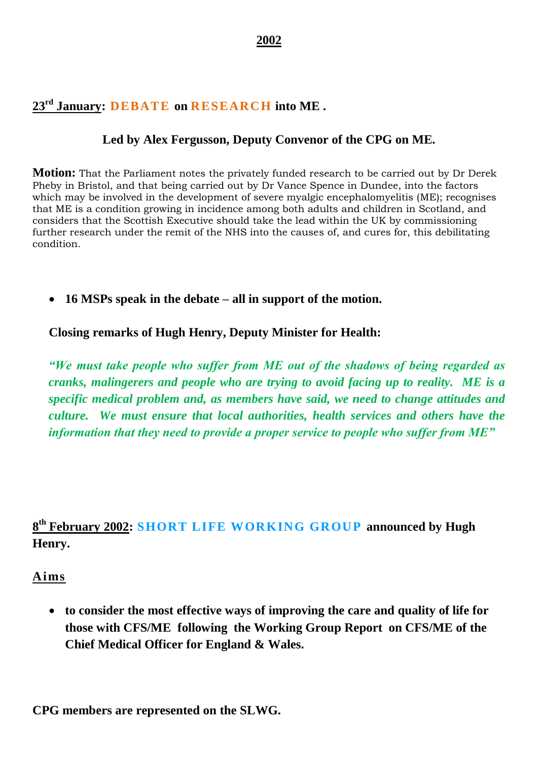# **23rd January: DEBATE on RESEARCH into ME .**

## **Led by Alex Fergusson, Deputy Convenor of the CPG on ME.**

**Motion:** That the Parliament notes the privately funded research to be carried out by Dr Derek Pheby in Bristol, and that being carried out by Dr Vance Spence in Dundee, into the factors which may be involved in the development of severe myalgic encephalomyelitis (ME); recognises that ME is a condition growing in incidence among both adults and children in Scotland, and considers that the Scottish Executive should take the lead within the UK by commissioning further research under the remit of the NHS into the causes of, and cures for, this debilitating condition.

**16 MSPs speak in the debate – all in support of the motion.**

**Closing remarks of Hugh Henry, Deputy Minister for Health:**

*"We must take people who suffer from ME out of the shadows of being regarded as cranks, malingerers and people who are trying to avoid facing up to reality. ME is a specific medical problem and, as members have said, we need to change attitudes and culture. We must ensure that local authorities, health services and others have the information that they need to provide a proper service to people who suffer from ME"*

# **8 th February 2002: SHORT LIFE WORKING GROUP announced by Hugh Henry.**

#### **Aims**

 **to consider the most effective ways of improving the care and quality of life for those with CFS/ME following the Working Group Report on CFS/ME of the Chief Medical Officer for England & Wales.**

**CPG members are represented on the SLWG.**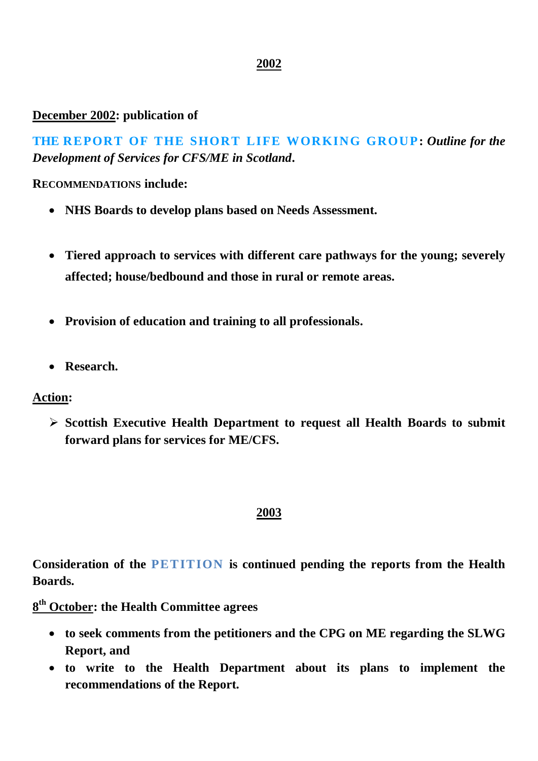### **December 2002: publication of**

**THE REPORT OF THE SHORT LIFE WORKING GROUP:** *Outline for the Development of Services for CFS/ME in Scotland***.**

**RECOMMENDATIONS include:**

- **NHS Boards to develop plans based on Needs Assessment.**
- **Tiered approach to services with different care pathways for the young; severely affected; house/bedbound and those in rural or remote areas.**
- **Provision of education and training to all professionals.**
- **Research.**

#### **Action:**

 **Scottish Executive Health Department to request all Health Boards to submit forward plans for services for ME/CFS.**

#### **2003**

**Consideration of the PETITION is continued pending the reports from the Health Boards.**

**8 th October: the Health Committee agrees** 

- **to seek comments from the petitioners and the CPG on ME regarding the SLWG Report, and**
- **to write to the Health Department about its plans to implement the recommendations of the Report.**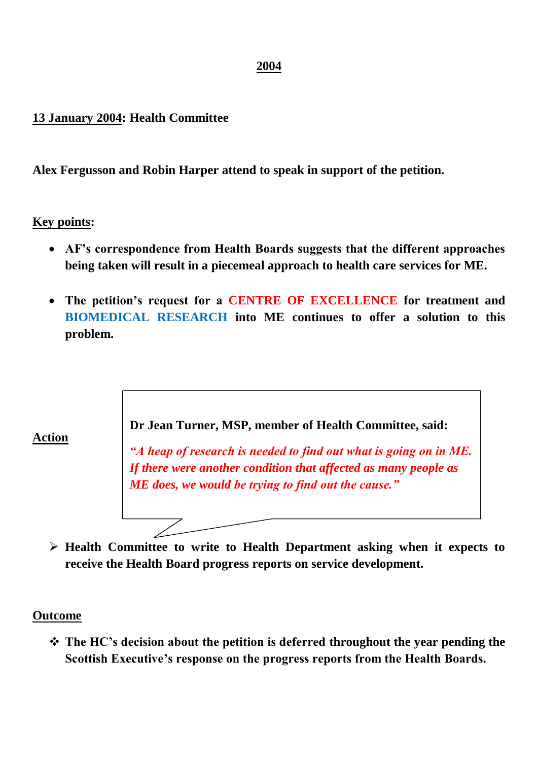#### **13 January 2004: Health Committee**

**Alex Fergusson and Robin Harper attend to speak in support of the petition.**

#### **Key points:**

- **AF's correspondence from Health Boards suggests that the different approaches being taken will result in a piecemeal approach to health care services for ME.**
- **The petition's request for a CENTRE OF EXCELLENCE for treatment and BIOMEDICAL RESEARCH into ME continues to offer a solution to this problem.**

**Dr Jean Turner, MSP, member of Health Committee, said:**

*"A heap of research is needed to find out what is going on in ME. If there were another condition that affected as many people as ME does, we would be trying to find out the cause."*

 **Health Committee to write to Health Department asking when it expects to receive the Health Board progress reports on service development.**

#### **Outcome**

 **The HC's decision about the petition is deferred throughout the year pending the Scottish Executive's response on the progress reports from the Health Boards.**

# **Action**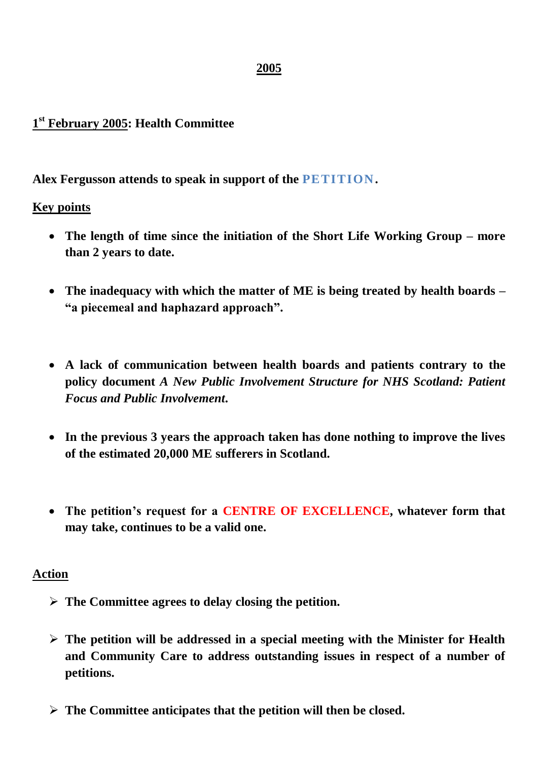# **1 st February 2005: Health Committee**

### **Alex Fergusson attends to speak in support of the PETITION.**

#### **Key points**

- **The length of time since the initiation of the Short Life Working Group – more than 2 years to date.**
- **The inadequacy with which the matter of ME is being treated by health boards – "a piecemeal and haphazard approach".**
- **A lack of communication between health boards and patients contrary to the policy document** *A New Public Involvement Structure for NHS Scotland: Patient Focus and Public Involvement***.**
- **In the previous 3 years the approach taken has done nothing to improve the lives of the estimated 20,000 ME sufferers in Scotland.**
- **The petition's request for a CENTRE OF EXCELLENCE, whatever form that may take, continues to be a valid one.**

#### **Action**

- **The Committee agrees to delay closing the petition.**
- **The petition will be addressed in a special meeting with the Minister for Health and Community Care to address outstanding issues in respect of a number of petitions.**
- **The Committee anticipates that the petition will then be closed.**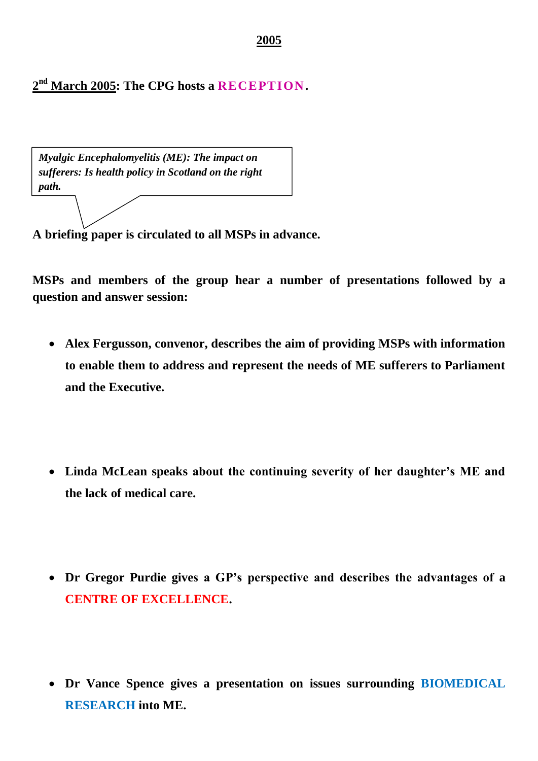**2 nd March 2005: The CPG hosts a RECEPTION.**

*Myalgic Encephalomyelitis (ME): The impact on sufferers: Is health policy in Scotland on the right path.*

**A briefing paper is circulated to all MSPs in advance.** 

**MSPs and members of the group hear a number of presentations followed by a question and answer session:**

- **Alex Fergusson, convenor, describes the aim of providing MSPs with information to enable them to address and represent the needs of ME sufferers to Parliament and the Executive.**
- **Linda McLean speaks about the continuing severity of her daughter's ME and the lack of medical care.**
- **Dr Gregor Purdie gives a GP's perspective and describes the advantages of a CENTRE OF EXCELLENCE.**
- **Dr Vance Spence gives a presentation on issues surrounding BIOMEDICAL RESEARCH into ME.**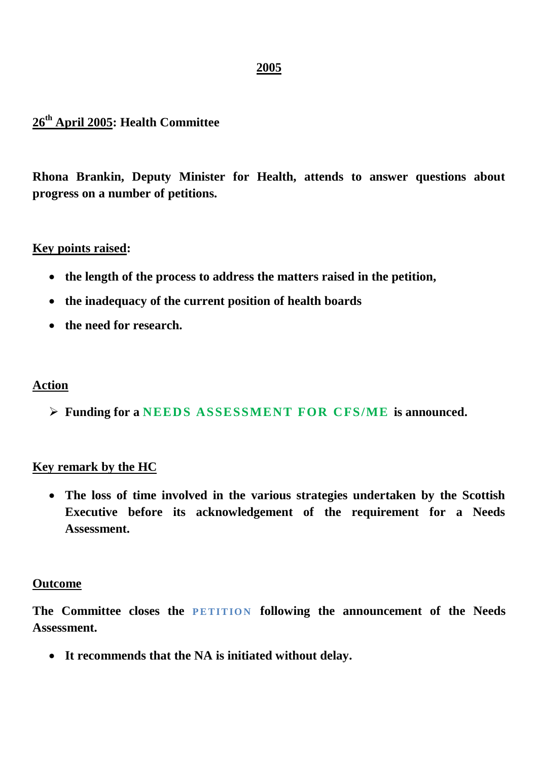# **26th April 2005: Health Committee**

**Rhona Brankin, Deputy Minister for Health, attends to answer questions about progress on a number of petitions.** 

#### **Key points raised:**

- **the length of the process to address the matters raised in the petition,**
- **the inadequacy of the current position of health boards**
- **the need for research.**

#### **Action**

**Funding for a NEEDS ASSESSMENT FOR CFS/ME is announced.**

#### **Key remark by the HC**

 **The loss of time involved in the various strategies undertaken by the Scottish Executive before its acknowledgement of the requirement for a Needs Assessment.**

#### **Outcome**

The Committee closes the **PETITION** following the announcement of the Needs **Assessment.** 

**It recommends that the NA is initiated without delay.**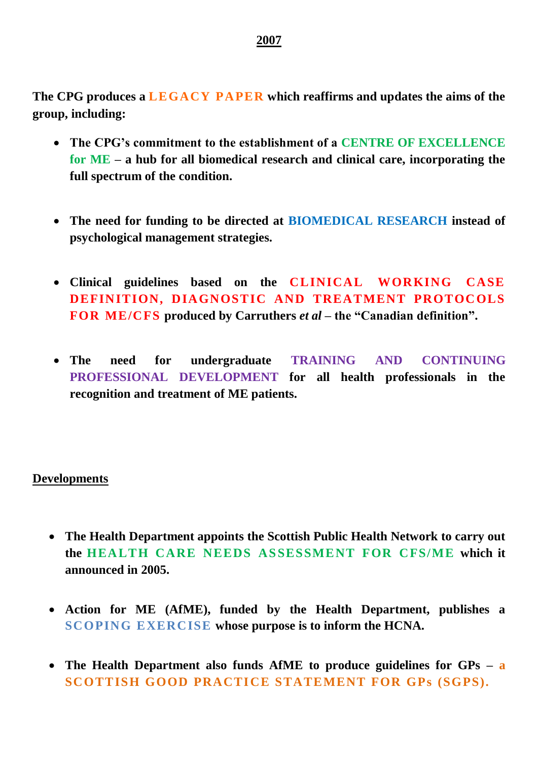**The CPG produces a LEGACY PAPER which reaffirms and updates the aims of the group, including:**

- **The CPG's commitment to the establishment of a CENTRE OF EXCELLENCE for ME – a hub for all biomedical research and clinical care, incorporating the full spectrum of the condition.**
- **The need for funding to be directed at BIOMEDICAL RESEARCH instead of psychological management strategies.**
- **Clinical guidelines based on the CLINICAL WORKING CASE DEFINITION, DIAGNOSTIC AND TREATMENT PROTOCOLS FOR ME/CFS produced by Carruthers** *et al* **– the "Canadian definition".**
- **The need for undergraduate TRAINING AND CONTINUING PROFESSIONAL DEVELOPMENT for all health professionals in the recognition and treatment of ME patients.**

#### **Developments**

- **The Health Department appoints the Scottish Public Health Network to carry out the HEALTH CARE NEEDS ASSESSMENT FOR CFS/ME which it announced in 2005.**
- **Action for ME (AfME), funded by the Health Department, publishes a SCOPING EXERCISE whose purpose is to inform the HCNA.**
- **The Health Department also funds AfME to produce guidelines for GPs – a SCOTTISH GOOD PRACTICE STATEMENT FOR GPs (SGPS).**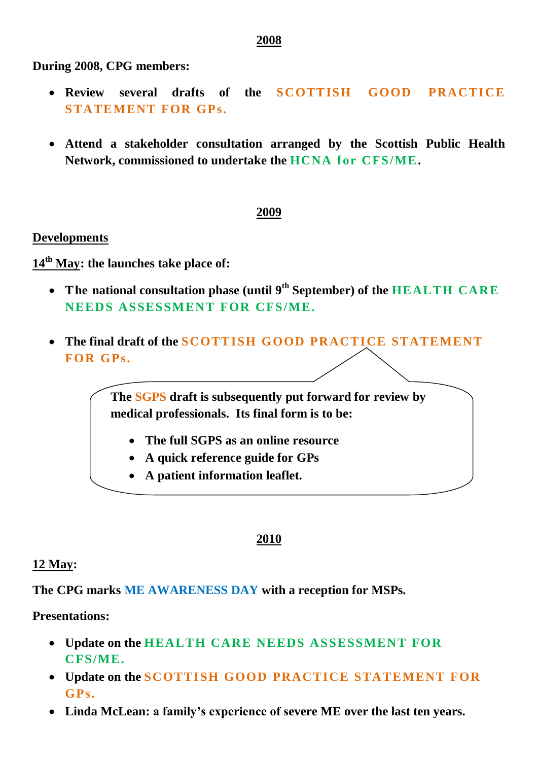**During 2008, CPG members:**

- **Review several drafts of the SCOTTISH GOOD PRACTICE STATEMENT FOR GPs.**
- **Attend a stakeholder consultation arranged by the Scottish Public Health Network, commissioned to undertake the HCNA for CFS/ME.**

# **2009**

## **Developments**

**14th May: the launches take place of:**

- **The national consultation phase (until 9th September) of the HEALTH CARE NEEDS ASSESSMENT FOR CFS/ME.**
- **The final draft of the SCOTTISH GOOD PRACTICE STATEMENT FOR GPs.**

**The SGPS draft is subsequently put forward for review by medical professionals. Its final form is to be:**

- **The full SGPS as an online resource**
- **A quick reference guide for GPs**
- **A patient information leaflet.**

#### **2010**

#### **12 May:**

**The CPG marks ME AWARENESS DAY with a reception for MSPs.**

# **Presentations:**

- **Update on the HEALTH CARE NEEDS ASSESSMENT FOR CFS/ME.**
- **Update on the SCOTTISH GOOD PRACTICE STATEMENT FOR GPs.**
- **Linda McLean: a family's experience of severe ME over the last ten years.**